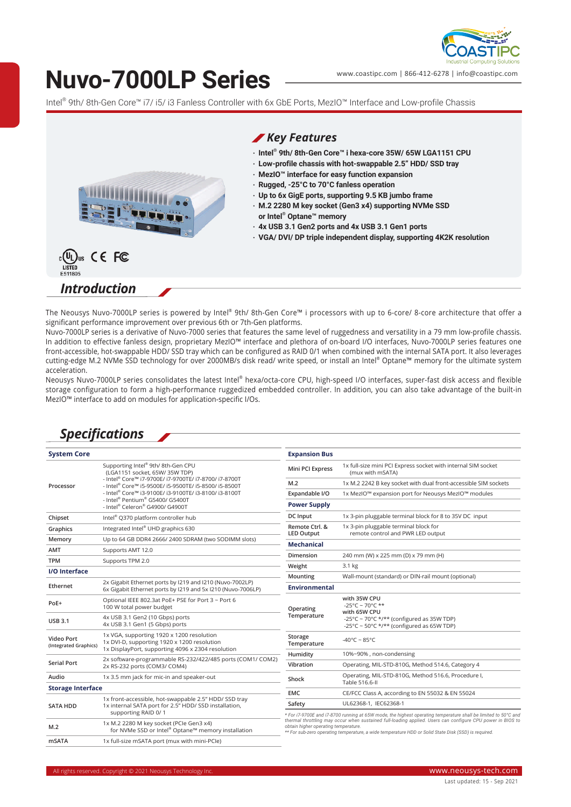

# **Nuvo-7000LP Series**

www.coastipc.com | 866-412-6278 | info@coastipc.com

Intel® 9th/ 8th-Gen Core™ i7/ i5/ i3 Fanless Controller with 6x GbE Ports, MezIO™ Interface and Low-profile Chassis



The Neousys Nuvo-7000LP series is powered by Intel® 9th/ 8th-Gen Core™ i processors with up to 6-core/ 8-core architecture that offer a significant performance improvement over previous 6th or 7th-Gen platforms.

Nuvo-7000LP series is a derivative of Nuvo-7000 series that features the same level of ruggedness and versatility in a 79 mm low-profile chassis. In addition to effective fanless design, proprietary MezIO™ interface and plethora of on-board I/O interfaces, Nuvo-7000LP series features one front-accessible, hot-swappable HDD/ SSD tray which can be configured as RAID 0/1 when combined with the internal SATA port. It also leverages cutting-edge M.2 NVMe SSD technology for over 2000MB/s disk read/ write speed, or install an Intel® Optane™ memory for the ultimate system acceleration.

Neousys Nuvo-7000LP series consolidates the latest Intel® hexa/octa-core CPU, high-speed I/O interfaces, super-fast disk access and flexible storage configuration to form a high-performance ruggedized embedded controller. In addition, you can also take advantage of the built-in MezIO™ interface to add on modules for application-specific I/Os.

### *Specifications*

| <b>System Core</b>                  |                                                                                                                                                                                                                                                                                                                      | <b>Expansion Bus</b>                                                                                                                                                                                                                                                                                                                                                         |                                                                                                        |
|-------------------------------------|----------------------------------------------------------------------------------------------------------------------------------------------------------------------------------------------------------------------------------------------------------------------------------------------------------------------|------------------------------------------------------------------------------------------------------------------------------------------------------------------------------------------------------------------------------------------------------------------------------------------------------------------------------------------------------------------------------|--------------------------------------------------------------------------------------------------------|
| Processor                           | Supporting Intel® 9th/8th-Gen CPU<br>(LGA1151 socket, 65W/ 35W TDP)<br>- Intel® Core™ i7-9700E/ i7-9700TE/ i7-8700/ i7-8700T<br>- Intel® Core™ i5-9500E/ i5-9500TE/ i5-8500/ i5-8500T<br>- Intel® Core™ i3-9100E/ i3-9100TE/ i3-8100/ i3-8100T<br>- Intel® Pentium® G5400/ G5400T<br>- Intel® Celeron® G4900/ G4900T | Mini PCI Express                                                                                                                                                                                                                                                                                                                                                             | 1x full-size mini PCI Express socket with internal SIM socket<br>(mux with mSATA)                      |
|                                     |                                                                                                                                                                                                                                                                                                                      | M.2                                                                                                                                                                                                                                                                                                                                                                          | 1x M.2 2242 B key socket with dual front-accessible SIM sockets                                        |
|                                     |                                                                                                                                                                                                                                                                                                                      | Expandable I/O                                                                                                                                                                                                                                                                                                                                                               | 1x MezIO <sup>™</sup> expansion port for Neousys MezIO™ modules                                        |
|                                     |                                                                                                                                                                                                                                                                                                                      | <b>Power Supply</b>                                                                                                                                                                                                                                                                                                                                                          |                                                                                                        |
| Chipset                             | Intel® Q370 platform controller hub                                                                                                                                                                                                                                                                                  | DC Input                                                                                                                                                                                                                                                                                                                                                                     | 1x 3-pin pluggable terminal block for 8 to 35V DC input                                                |
| Graphics                            | Integrated Intel® UHD graphics 630                                                                                                                                                                                                                                                                                   | Remote Ctrl. &<br><b>LED Output</b>                                                                                                                                                                                                                                                                                                                                          | 1x 3-pin pluggable terminal block for<br>remote control and PWR LED output                             |
| Memory                              | Up to 64 GB DDR4 2666/2400 SDRAM (two SODIMM slots)                                                                                                                                                                                                                                                                  | <b>Mechanical</b>                                                                                                                                                                                                                                                                                                                                                            |                                                                                                        |
| <b>AMT</b>                          | Supports AMT 12.0                                                                                                                                                                                                                                                                                                    |                                                                                                                                                                                                                                                                                                                                                                              |                                                                                                        |
| <b>TPM</b>                          | Supports TPM 2.0                                                                                                                                                                                                                                                                                                     | Dimension                                                                                                                                                                                                                                                                                                                                                                    | 240 mm (W) x 225 mm (D) x 79 mm (H)                                                                    |
| <b>I/O</b> Interface                |                                                                                                                                                                                                                                                                                                                      | Weight                                                                                                                                                                                                                                                                                                                                                                       | 3.1 kg                                                                                                 |
| Ethernet                            | 2x Gigabit Ethernet ports by I219 and I210 (Nuvo-7002LP)                                                                                                                                                                                                                                                             | Mounting                                                                                                                                                                                                                                                                                                                                                                     | Wall-mount (standard) or DIN-rail mount (optional)                                                     |
|                                     | 6x Gigabit Ethernet ports by I219 and 5x I210 (Nuvo-7006LP)                                                                                                                                                                                                                                                          | <b>Environmental</b>                                                                                                                                                                                                                                                                                                                                                         |                                                                                                        |
| PoE+                                | Optional IEEE 802.3at PoE+ PSE for Port 3 ~ Port 6<br>100 W total power budget                                                                                                                                                                                                                                       | Operating<br>Temperature                                                                                                                                                                                                                                                                                                                                                     | with 35W CPU<br>-25°C ~ 70°C **                                                                        |
| <b>USB 3.1</b>                      | 4x USB 3.1 Gen2 (10 Gbps) ports<br>4x USB 3.1 Gen1 (5 Gbps) ports                                                                                                                                                                                                                                                    |                                                                                                                                                                                                                                                                                                                                                                              | with 65W CPU<br>-25°C ~ 70°C */** (configured as 35W TDP)<br>-25°C ~ 50°C */** (configured as 65W TDP) |
| Video Port<br>(Integrated Graphics) | 1x VGA, supporting 1920 x 1200 resolution<br>1x DVI-D, supporting 1920 x 1200 resolution<br>1x DisplayPort, supporting 4096 x 2304 resolution                                                                                                                                                                        | Storage<br>Temperature                                                                                                                                                                                                                                                                                                                                                       | $-40^{\circ}$ C ~ 85°C                                                                                 |
|                                     | 2x software-programmable RS-232/422/485 ports (COM1/ COM2)                                                                                                                                                                                                                                                           | Humidity                                                                                                                                                                                                                                                                                                                                                                     | 10%~90%, non-condensing                                                                                |
| <b>Serial Port</b>                  | 2x RS-232 ports (COM3/ COM4)                                                                                                                                                                                                                                                                                         | Vibration                                                                                                                                                                                                                                                                                                                                                                    | Operating, MIL-STD-810G, Method 514.6, Category 4                                                      |
| Audio                               | 1x 3.5 mm jack for mic-in and speaker-out                                                                                                                                                                                                                                                                            | Shock                                                                                                                                                                                                                                                                                                                                                                        | Operating, MIL-STD-810G, Method 516.6, Procedure I,<br>Table 516.6-II                                  |
| <b>Storage Interface</b>            |                                                                                                                                                                                                                                                                                                                      | <b>EMC</b>                                                                                                                                                                                                                                                                                                                                                                   | CE/FCC Class A, according to EN 55032 & EN 55024                                                       |
| <b>SATA HDD</b>                     | 1x front-accessible, hot-swappable 2.5" HDD/ SSD tray<br>1x internal SATA port for 2.5" HDD/ SSD installation,<br>supporting RAID 0/1                                                                                                                                                                                | Safety                                                                                                                                                                                                                                                                                                                                                                       | UL62368-1, IEC62368-1                                                                                  |
|                                     |                                                                                                                                                                                                                                                                                                                      |                                                                                                                                                                                                                                                                                                                                                                              |                                                                                                        |
| M.2                                 | 1x M.2 2280 M key socket (PCIe Gen3 x4)<br>for NVMe SSD or Intel® Optane™ memory installation                                                                                                                                                                                                                        | * For i7-9700E and i7-8700 running at 65W mode, the highest operating temperature shall be limited to 50°C and<br>thermal throttling may occur when sustained full-loading applied. Users can configure CPU power in BIOS to<br>obtain higher operating temperature.<br>** For sub-zero operating temperature, a wide temperature HDD or Solid State Disk (SSD) is required. |                                                                                                        |
| <b>mSATA</b>                        | 1x full-size mSATA port (mux with mini-PCle)                                                                                                                                                                                                                                                                         |                                                                                                                                                                                                                                                                                                                                                                              |                                                                                                        |